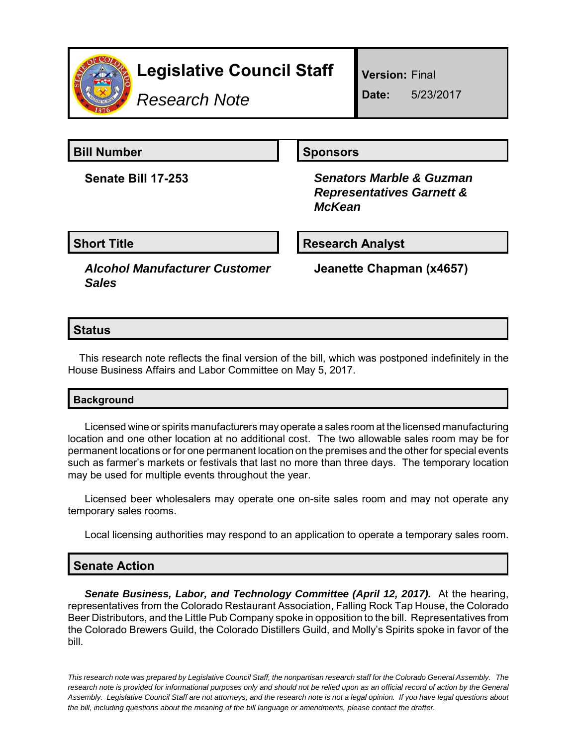

# **Legislative Council Staff**

*Research Note*

**Version:** Final

**Date:** 5/23/2017

**Bill Number Sponsors** 

**Senate Bill 17-253** *Senators Marble & Guzman Representatives Garnett & McKean*

**Short Title Community Community Community Research Analyst** 

*Alcohol Manufacturer Customer Sales*

**Jeanette Chapman (x4657)**

# **Status**

This research note reflects the final version of the bill, which was postponed indefinitely in the House Business Affairs and Labor Committee on May 5, 2017.

### **Background**

Licensed wine or spirits manufacturers may operate a sales room at the licensed manufacturing location and one other location at no additional cost. The two allowable sales room may be for permanent locations or for one permanent location on the premises and the other for special events such as farmer's markets or festivals that last no more than three days. The temporary location may be used for multiple events throughout the year.

Licensed beer wholesalers may operate one on-site sales room and may not operate any temporary sales rooms.

Local licensing authorities may respond to an application to operate a temporary sales room.

## **Senate Action**

**Senate Business, Labor, and Technology Committee (April 12, 2017).** At the hearing, representatives from the Colorado Restaurant Association, Falling Rock Tap House, the Colorado Beer Distributors, and the Little Pub Company spoke in opposition to the bill. Representatives from the Colorado Brewers Guild, the Colorado Distillers Guild, and Molly's Spirits spoke in favor of the bill.

*This research note was prepared by Legislative Council Staff, the nonpartisan research staff for the Colorado General Assembly. The research note is provided for informational purposes only and should not be relied upon as an official record of action by the General Assembly. Legislative Council Staff are not attorneys, and the research note is not a legal opinion. If you have legal questions about the bill, including questions about the meaning of the bill language or amendments, please contact the drafter.*